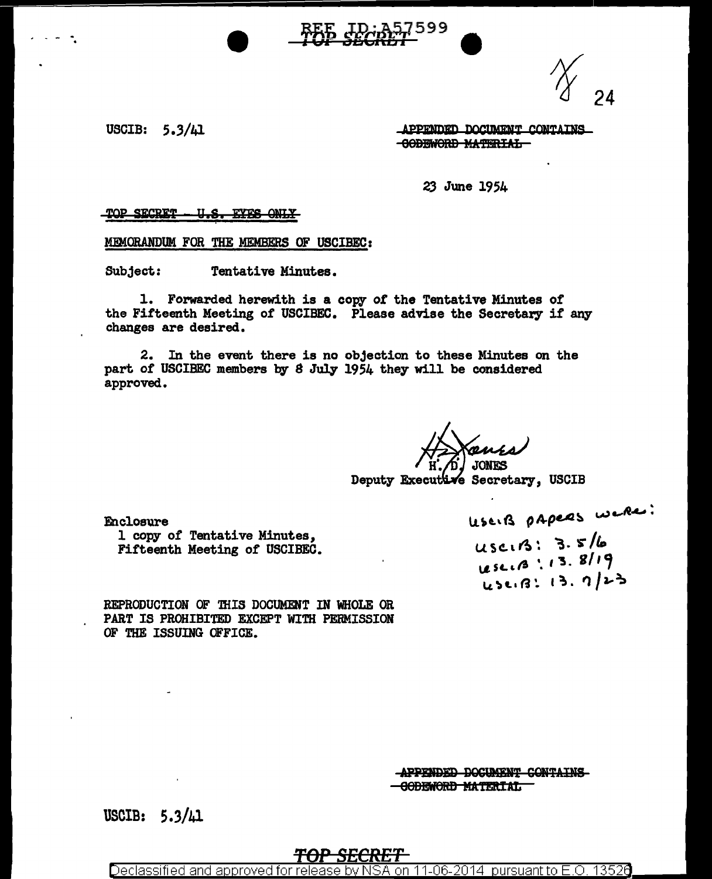USCIB:  $5.3/\mu$ 1

APPENDED DOCUMENT CONTAINS **-GODEWORD MATERIAL-**

23 June 1954

TOP SECRET <u>u.s. </u> **EYES ONLY** 

MEMORANDUM FOR THE MEMBERS OF USCIBEC:

Subject: Tentative Minutes.

1. Forwarded herewith is a copy of the Tentative Minutes of the Fifteenth Meeting of USCIBEC. Please advise the Secretary if any changes are desired.

2. In the event there is no objection to these Minutes on the part of USCIBEC members by 8 July 1954 they will be considered approved.

**TONTS** 

Deputy Executive Secretary, USCIB

Enclosure

1 copy of Tentative Minutes, Fifteenth Meeting of USCIBEC. USEIB papers were:

USCIB: 3.5/6 Lese. 13.8/19 45213: 13. 7/23

REPRODUCTION OF THIS DOCUMENT IN WHOLE OR PART IS PROHIBITED EXCEPT WITH PERMISSION OF THE ISSUING OFFICE.

> APPENDED DOCUMENT CONTAINS **GODEWORD MATERIAL**

USCIB: 5.3/41

Declassified and approved for re 11-06-2014 pursuant to E.O. 13526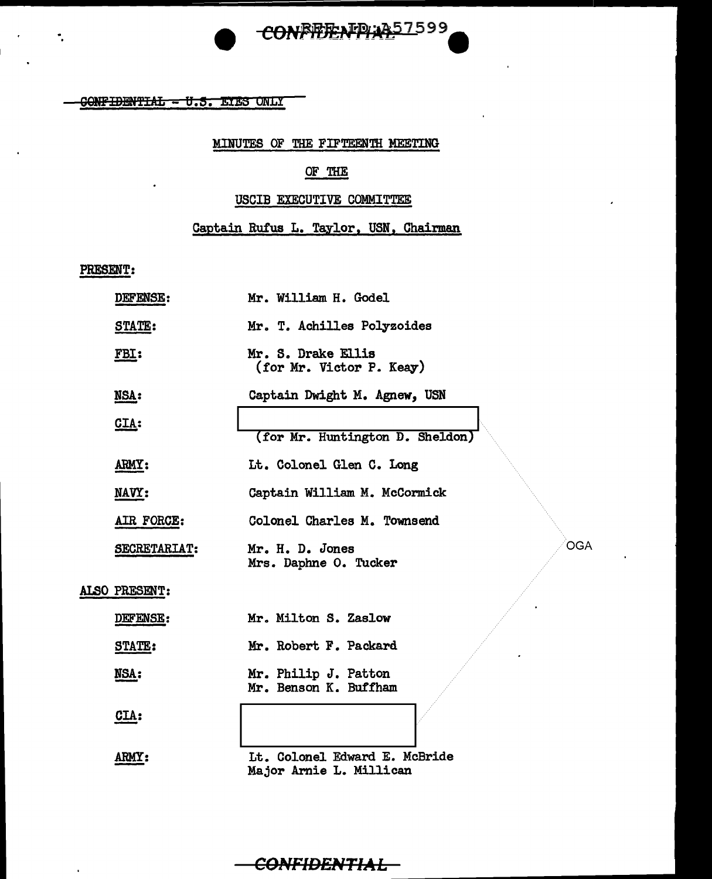

 $GONFIDENTLAL - U.S. ETES ONLY$ 

## MINUTES OF THE FIFTEENTH MEETING

#### OF THE

# USCIB EXECUTIVE COMMITTEE

# Captain Rufus L. Taylor, USN, Chairman

## PRESENT:

 $\bar{a}$ 

 $\overline{\phantom{a}}$ 

| DEFENSE:      | Mr. William H. Godel                                     |
|---------------|----------------------------------------------------------|
| <b>STATE:</b> | Mr. T. Achilles Polyzoides                               |
| FBI:          | Mr. S. Drake Ellis<br>(for Mr. Victor P. Keay)           |
| NSA:          | Captain Dwight M. Agnew, USN                             |
| CLA:          | (for Mr. Huntington D. Sheldon)                          |
| ARMY:         | Lt. Colonel Glen C. Long                                 |
| NAVY:         | Captain William M. McCormick                             |
| AIR FORCE:    | Colonel Charles M. Townsend                              |
| SECRETARIAT:  | <b>OGA</b><br>Mr. H. D. Jones<br>Mrs. Daphne O. Tucker   |
| ALSO PRESENT: |                                                          |
| DEFENSE:      | Mr. Milton S. Zaslow                                     |
| <b>STATE:</b> | Mr. Robert F. Packard                                    |
| NSA:          | Mr. Philip J. Patton<br>Mr. Benson K. Buffham            |
| CLA:          |                                                          |
| <b>ARMY:</b>  | Lt. Colonel Edward E. McBride<br>Major Arnie L. Millican |

# **CONFIDENTIAL**